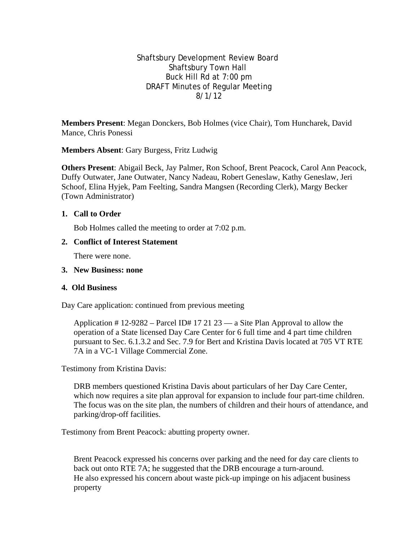Shaftsbury Development Review Board Shaftsbury Town Hall Buck Hill Rd at 7:00 pm DRAFT Minutes of Regular Meeting 8/1/12

**Members Present**: Megan Donckers, Bob Holmes (vice Chair), Tom Huncharek, David Mance, Chris Ponessi

**Members Absent**: Gary Burgess, Fritz Ludwig

**Others Present**: Abigail Beck, Jay Palmer, Ron Schoof, Brent Peacock, Carol Ann Peacock, Duffy Outwater, Jane Outwater, Nancy Nadeau, Robert Geneslaw, Kathy Geneslaw, Jeri Schoof, Elina Hyjek, Pam Feelting, Sandra Mangsen (Recording Clerk), Margy Becker (Town Administrator)

### **1. Call to Order**

Bob Holmes called the meeting to order at 7:02 p.m.

#### **2. Conflict of Interest Statement**

There were none.

#### **3. New Business: none**

#### **4. Old Business**

Day Care application: continued from previous meeting

Application  $\# 12-9282$  – Parcel ID $\# 17 21 23$  — a Site Plan Approval to allow the operation of a State licensed Day Care Center for 6 full time and 4 part time children pursuant to Sec. 6.1.3.2 and Sec. 7.9 for Bert and Kristina Davis located at 705 VT RTE 7A in a VC-1 Village Commercial Zone.

Testimony from Kristina Davis:

DRB members questioned Kristina Davis about particulars of her Day Care Center, which now requires a site plan approval for expansion to include four part-time children. The focus was on the site plan, the numbers of children and their hours of attendance, and parking/drop-off facilities.

Testimony from Brent Peacock: abutting property owner.

Brent Peacock expressed his concerns over parking and the need for day care clients to back out onto RTE 7A; he suggested that the DRB encourage a turn-around. He also expressed his concern about waste pick-up impinge on his adjacent business property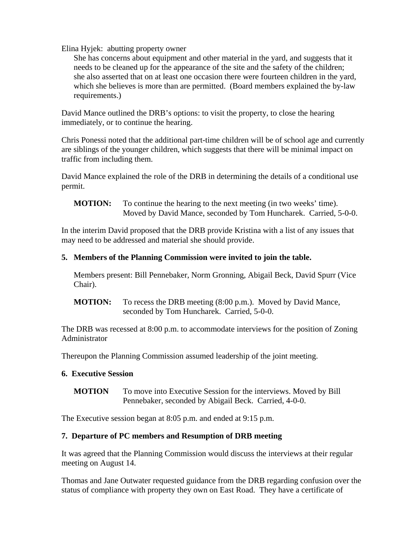Elina Hyjek: abutting property owner

She has concerns about equipment and other material in the yard, and suggests that it needs to be cleaned up for the appearance of the site and the safety of the children; she also asserted that on at least one occasion there were fourteen children in the yard, which she believes is more than are permitted. (Board members explained the by-law requirements.)

David Mance outlined the DRB's options: to visit the property, to close the hearing immediately, or to continue the hearing.

Chris Ponessi noted that the additional part-time children will be of school age and currently are siblings of the younger children, which suggests that there will be minimal impact on traffic from including them.

David Mance explained the role of the DRB in determining the details of a conditional use permit.

**MOTION:** To continue the hearing to the next meeting (in two weeks' time). Moved by David Mance, seconded by Tom Huncharek. Carried, 5-0-0.

In the interim David proposed that the DRB provide Kristina with a list of any issues that may need to be addressed and material she should provide.

# **5. Members of the Planning Commission were invited to join the table.**

Members present: Bill Pennebaker, Norm Gronning, Abigail Beck, David Spurr (Vice Chair).

**MOTION:** To recess the DRB meeting (8:00 p.m.). Moved by David Mance, seconded by Tom Huncharek. Carried, 5-0-0.

The DRB was recessed at 8:00 p.m. to accommodate interviews for the position of Zoning Administrator

Thereupon the Planning Commission assumed leadership of the joint meeting.

# **6. Executive Session**

**MOTION** To move into Executive Session for the interviews. Moved by Bill Pennebaker, seconded by Abigail Beck. Carried, 4-0-0.

The Executive session began at 8:05 p.m. and ended at 9:15 p.m.

# **7. Departure of PC members and Resumption of DRB meeting**

It was agreed that the Planning Commission would discuss the interviews at their regular meeting on August 14.

Thomas and Jane Outwater requested guidance from the DRB regarding confusion over the status of compliance with property they own on East Road. They have a certificate of